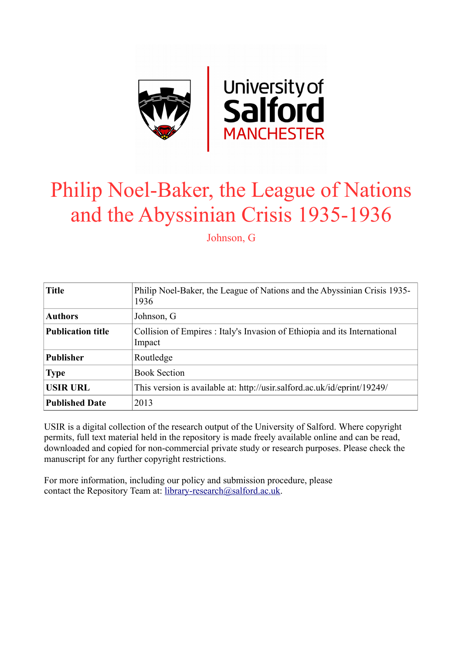

## Philip Noel-Baker, the League of Nations and the Abyssinian Crisis 1935-1936

Johnson, G

| <b>Title</b>             | Philip Noel-Baker, the League of Nations and the Abyssinian Crisis 1935-<br>1936    |
|--------------------------|-------------------------------------------------------------------------------------|
| <b>Authors</b>           | Johnson, G                                                                          |
| <b>Publication title</b> | Collision of Empires : Italy's Invasion of Ethiopia and its International<br>Impact |
| <b>Publisher</b>         | Routledge                                                                           |
| <b>Type</b>              | <b>Book Section</b>                                                                 |
| <b>USIR URL</b>          | This version is available at: http://usir.salford.ac.uk/id/eprint/19249/            |
| <b>Published Date</b>    | 2013                                                                                |

USIR is a digital collection of the research output of the University of Salford. Where copyright permits, full text material held in the repository is made freely available online and can be read, downloaded and copied for non-commercial private study or research purposes. Please check the manuscript for any further copyright restrictions.

For more information, including our policy and submission procedure, please contact the Repository Team at: [library-research@salford.ac.uk.](mailto:library-research@salford.ac.uk)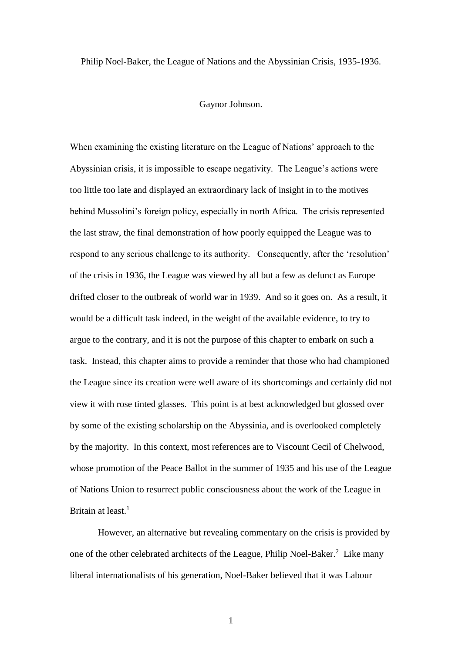Philip Noel-Baker, the League of Nations and the Abyssinian Crisis, 1935-1936.

## Gaynor Johnson.

When examining the existing literature on the League of Nations' approach to the Abyssinian crisis, it is impossible to escape negativity. The League's actions were too little too late and displayed an extraordinary lack of insight in to the motives behind Mussolini's foreign policy, especially in north Africa. The crisis represented the last straw, the final demonstration of how poorly equipped the League was to respond to any serious challenge to its authority. Consequently, after the 'resolution' of the crisis in 1936, the League was viewed by all but a few as defunct as Europe drifted closer to the outbreak of world war in 1939. And so it goes on. As a result, it would be a difficult task indeed, in the weight of the available evidence, to try to argue to the contrary, and it is not the purpose of this chapter to embark on such a task. Instead, this chapter aims to provide a reminder that those who had championed the League since its creation were well aware of its shortcomings and certainly did not view it with rose tinted glasses. This point is at best acknowledged but glossed over by some of the existing scholarship on the Abyssinia, and is overlooked completely by the majority. In this context, most references are to Viscount Cecil of Chelwood, whose promotion of the Peace Ballot in the summer of 1935 and his use of the League of Nations Union to resurrect public consciousness about the work of the League in Britain at least.<sup>1</sup>

However, an alternative but revealing commentary on the crisis is provided by one of the other celebrated architects of the League, Philip Noel-Baker. $^2$  Like many liberal internationalists of his generation, Noel-Baker believed that it was Labour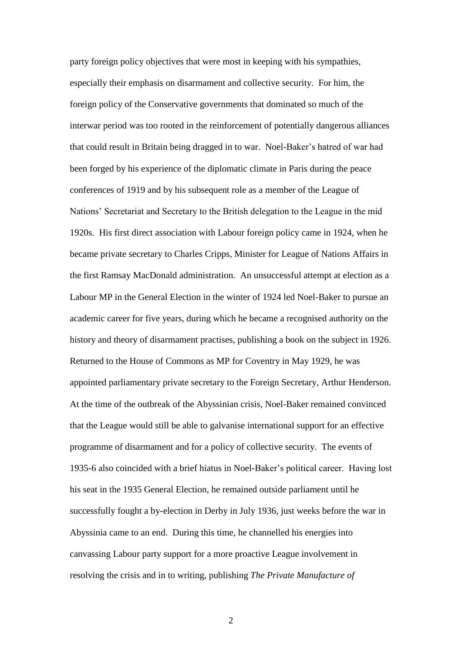party foreign policy objectives that were most in keeping with his sympathies, especially their emphasis on disarmament and collective security. For him, the foreign policy of the Conservative governments that dominated so much of the interwar period was too rooted in the reinforcement of potentially dangerous alliances that could result in Britain being dragged in to war. Noel-Baker's hatred of war had been forged by his experience of the diplomatic climate in Paris during the peace conferences of 1919 and by his subsequent role as a member of the League of Nations' Secretariat and Secretary to the British delegation to the League in the mid 1920s. His first direct association with Labour foreign policy came in 1924, when he became private secretary to Charles Cripps, Minister for League of Nations Affairs in the first Ramsay MacDonald administration. An unsuccessful attempt at election as a Labour MP in the General Election in the winter of 1924 led Noel-Baker to pursue an academic career for five years, during which he became a recognised authority on the history and theory of disarmament practises, publishing a book on the subject in 1926. Returned to the House of Commons as MP for Coventry in May 1929, he was appointed parliamentary private secretary to the Foreign Secretary, Arthur Henderson. At the time of the outbreak of the Abyssinian crisis, Noel-Baker remained convinced that the League would still be able to galvanise international support for an effective programme of disarmament and for a policy of collective security. The events of 1935-6 also coincided with a brief hiatus in Noel-Baker's political career. Having lost his seat in the 1935 General Election, he remained outside parliament until he successfully fought a by-election in Derby in July 1936, just weeks before the war in Abyssinia came to an end. During this time, he channelled his energies into canvassing Labour party support for a more proactive League involvement in resolving the crisis and in to writing, publishing *The Private Manufacture of*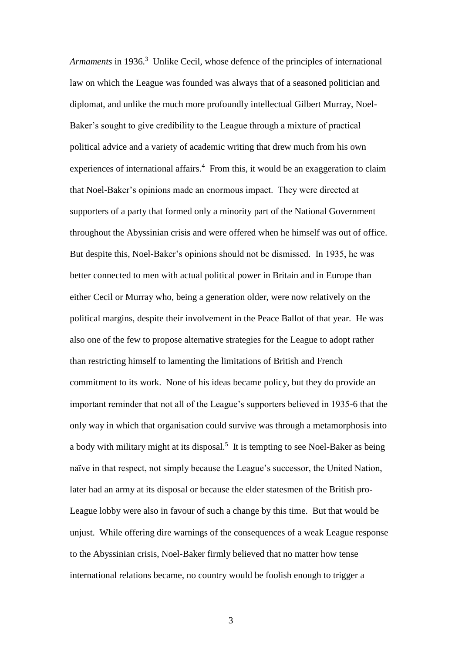Armaments in 1936.<sup>3</sup> Unlike Cecil, whose defence of the principles of international law on which the League was founded was always that of a seasoned politician and diplomat, and unlike the much more profoundly intellectual Gilbert Murray, Noel-Baker's sought to give credibility to the League through a mixture of practical political advice and a variety of academic writing that drew much from his own experiences of international affairs.<sup>4</sup> From this, it would be an exaggeration to claim that Noel-Baker's opinions made an enormous impact. They were directed at supporters of a party that formed only a minority part of the National Government throughout the Abyssinian crisis and were offered when he himself was out of office. But despite this, Noel-Baker's opinions should not be dismissed. In 1935, he was better connected to men with actual political power in Britain and in Europe than either Cecil or Murray who, being a generation older, were now relatively on the political margins, despite their involvement in the Peace Ballot of that year. He was also one of the few to propose alternative strategies for the League to adopt rather than restricting himself to lamenting the limitations of British and French commitment to its work. None of his ideas became policy, but they do provide an important reminder that not all of the League's supporters believed in 1935-6 that the only way in which that organisation could survive was through a metamorphosis into a body with military might at its disposal.<sup>5</sup> It is tempting to see Noel-Baker as being naïve in that respect, not simply because the League's successor, the United Nation, later had an army at its disposal or because the elder statesmen of the British pro-League lobby were also in favour of such a change by this time. But that would be unjust. While offering dire warnings of the consequences of a weak League response to the Abyssinian crisis, Noel-Baker firmly believed that no matter how tense international relations became, no country would be foolish enough to trigger a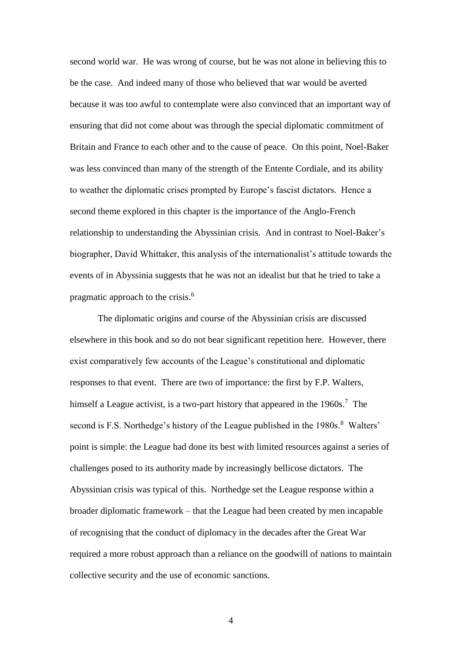second world war. He was wrong of course, but he was not alone in believing this to be the case. And indeed many of those who believed that war would be averted because it was too awful to contemplate were also convinced that an important way of ensuring that did not come about was through the special diplomatic commitment of Britain and France to each other and to the cause of peace. On this point, Noel-Baker was less convinced than many of the strength of the Entente Cordiale, and its ability to weather the diplomatic crises prompted by Europe's fascist dictators. Hence a second theme explored in this chapter is the importance of the Anglo-French relationship to understanding the Abyssinian crisis. And in contrast to Noel-Baker's biographer, David Whittaker, this analysis of the internationalist's attitude towards the events of in Abyssinia suggests that he was not an idealist but that he tried to take a pragmatic approach to the crisis.<sup>6</sup>

The diplomatic origins and course of the Abyssinian crisis are discussed elsewhere in this book and so do not bear significant repetition here. However, there exist comparatively few accounts of the League's constitutional and diplomatic responses to that event. There are two of importance: the first by F.P. Walters, himself a League activist, is a two-part history that appeared in the  $1960s$ .<sup>7</sup> The second is F.S. Northedge's history of the League published in the 1980s.<sup>8</sup> Walters' point is simple: the League had done its best with limited resources against a series of challenges posed to its authority made by increasingly bellicose dictators. The Abyssinian crisis was typical of this. Northedge set the League response within a broader diplomatic framework – that the League had been created by men incapable of recognising that the conduct of diplomacy in the decades after the Great War required a more robust approach than a reliance on the goodwill of nations to maintain collective security and the use of economic sanctions.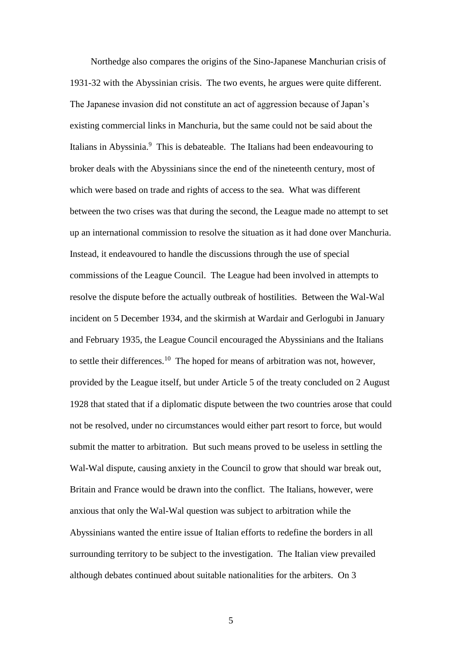Northedge also compares the origins of the Sino-Japanese Manchurian crisis of 1931-32 with the Abyssinian crisis. The two events, he argues were quite different. The Japanese invasion did not constitute an act of aggression because of Japan's existing commercial links in Manchuria, but the same could not be said about the Italians in Abyssinia.<sup>9</sup> This is debateable. The Italians had been endeavouring to broker deals with the Abyssinians since the end of the nineteenth century, most of which were based on trade and rights of access to the sea. What was different between the two crises was that during the second, the League made no attempt to set up an international commission to resolve the situation as it had done over Manchuria. Instead, it endeavoured to handle the discussions through the use of special commissions of the League Council. The League had been involved in attempts to resolve the dispute before the actually outbreak of hostilities. Between the Wal-Wal incident on 5 December 1934, and the skirmish at Wardair and Gerlogubi in January and February 1935, the League Council encouraged the Abyssinians and the Italians to settle their differences.<sup>10</sup> The hoped for means of arbitration was not, however, provided by the League itself, but under Article 5 of the treaty concluded on 2 August 1928 that stated that if a diplomatic dispute between the two countries arose that could not be resolved, under no circumstances would either part resort to force, but would submit the matter to arbitration. But such means proved to be useless in settling the Wal-Wal dispute, causing anxiety in the Council to grow that should war break out, Britain and France would be drawn into the conflict. The Italians, however, were anxious that only the Wal-Wal question was subject to arbitration while the Abyssinians wanted the entire issue of Italian efforts to redefine the borders in all surrounding territory to be subject to the investigation. The Italian view prevailed although debates continued about suitable nationalities for the arbiters. On 3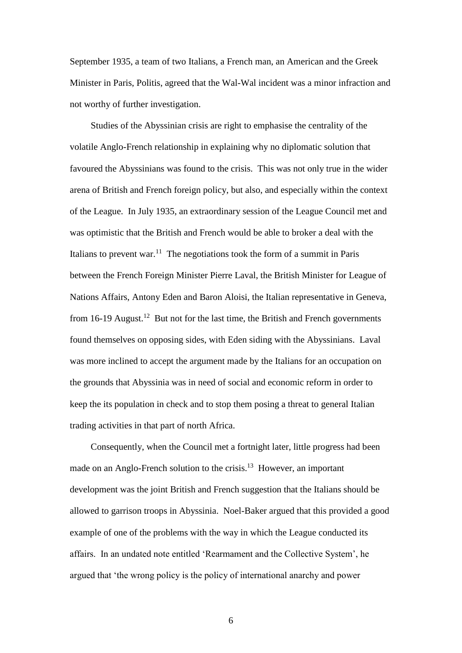September 1935, a team of two Italians, a French man, an American and the Greek Minister in Paris, Politis, agreed that the Wal-Wal incident was a minor infraction and not worthy of further investigation.

Studies of the Abyssinian crisis are right to emphasise the centrality of the volatile Anglo-French relationship in explaining why no diplomatic solution that favoured the Abyssinians was found to the crisis. This was not only true in the wider arena of British and French foreign policy, but also, and especially within the context of the League. In July 1935, an extraordinary session of the League Council met and was optimistic that the British and French would be able to broker a deal with the Italians to prevent war.<sup>11</sup> The negotiations took the form of a summit in Paris between the French Foreign Minister Pierre Laval, the British Minister for League of Nations Affairs, Antony Eden and Baron Aloisi, the Italian representative in Geneva, from 16-19 August.<sup>12</sup> But not for the last time, the British and French governments found themselves on opposing sides, with Eden siding with the Abyssinians. Laval was more inclined to accept the argument made by the Italians for an occupation on the grounds that Abyssinia was in need of social and economic reform in order to keep the its population in check and to stop them posing a threat to general Italian trading activities in that part of north Africa.

Consequently, when the Council met a fortnight later, little progress had been made on an Anglo-French solution to the crisis.<sup>13</sup> However, an important development was the joint British and French suggestion that the Italians should be allowed to garrison troops in Abyssinia. Noel-Baker argued that this provided a good example of one of the problems with the way in which the League conducted its affairs. In an undated note entitled 'Rearmament and the Collective System', he argued that 'the wrong policy is the policy of international anarchy and power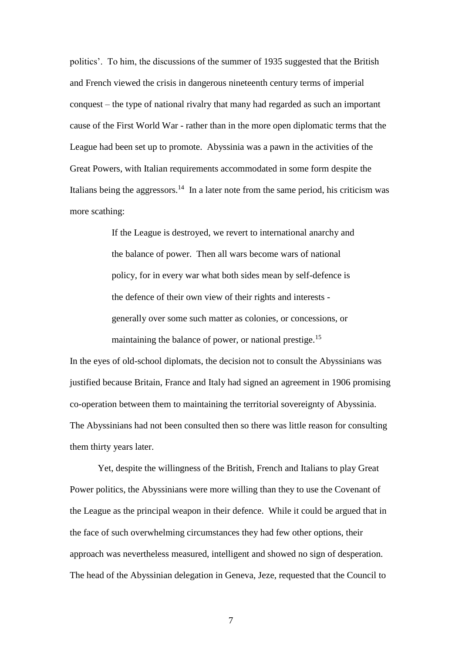politics'. To him, the discussions of the summer of 1935 suggested that the British and French viewed the crisis in dangerous nineteenth century terms of imperial conquest – the type of national rivalry that many had regarded as such an important cause of the First World War - rather than in the more open diplomatic terms that the League had been set up to promote. Abyssinia was a pawn in the activities of the Great Powers, with Italian requirements accommodated in some form despite the Italians being the aggressors.<sup>14</sup> In a later note from the same period, his criticism was more scathing:

> If the League is destroyed, we revert to international anarchy and the balance of power. Then all wars become wars of national policy, for in every war what both sides mean by self-defence is the defence of their own view of their rights and interests generally over some such matter as colonies, or concessions, or maintaining the balance of power, or national prestige.<sup>15</sup>

In the eyes of old-school diplomats, the decision not to consult the Abyssinians was justified because Britain, France and Italy had signed an agreement in 1906 promising co-operation between them to maintaining the territorial sovereignty of Abyssinia. The Abyssinians had not been consulted then so there was little reason for consulting them thirty years later.

Yet, despite the willingness of the British, French and Italians to play Great Power politics, the Abyssinians were more willing than they to use the Covenant of the League as the principal weapon in their defence. While it could be argued that in the face of such overwhelming circumstances they had few other options, their approach was nevertheless measured, intelligent and showed no sign of desperation. The head of the Abyssinian delegation in Geneva, Jeze, requested that the Council to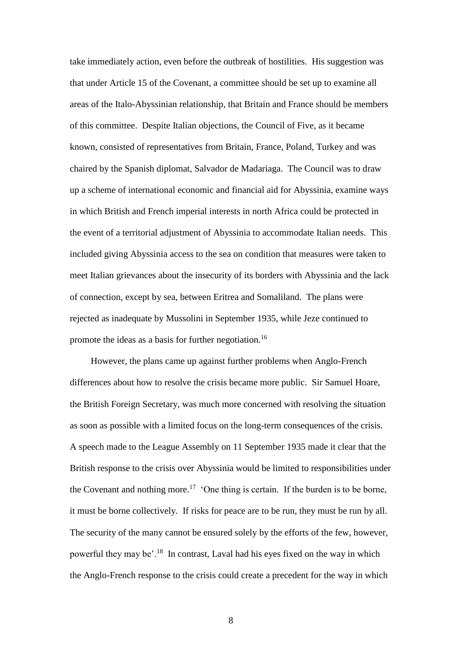take immediately action, even before the outbreak of hostilities. His suggestion was that under Article 15 of the Covenant, a committee should be set up to examine all areas of the Italo-Abyssinian relationship, that Britain and France should be members of this committee. Despite Italian objections, the Council of Five, as it became known, consisted of representatives from Britain, France, Poland, Turkey and was chaired by the Spanish diplomat, Salvador de Madariaga. The Council was to draw up a scheme of international economic and financial aid for Abyssinia, examine ways in which British and French imperial interests in north Africa could be protected in the event of a territorial adjustment of Abyssinia to accommodate Italian needs. This included giving Abyssinia access to the sea on condition that measures were taken to meet Italian grievances about the insecurity of its borders with Abyssinia and the lack of connection, except by sea, between Eritrea and Somaliland. The plans were rejected as inadequate by Mussolini in September 1935, while Jeze continued to promote the ideas as a basis for further negotiation.<sup>16</sup>

However, the plans came up against further problems when Anglo-French differences about how to resolve the crisis became more public. Sir Samuel Hoare, the British Foreign Secretary, was much more concerned with resolving the situation as soon as possible with a limited focus on the long-term consequences of the crisis. A speech made to the League Assembly on 11 September 1935 made it clear that the British response to the crisis over Abyssinia would be limited to responsibilities under the Covenant and nothing more.<sup>17</sup> 'One thing is certain. If the burden is to be borne, it must be borne collectively. If risks for peace are to be run, they must be run by all. The security of the many cannot be ensured solely by the efforts of the few, however, powerful they may be'.<sup>18</sup> In contrast, Laval had his eyes fixed on the way in which the Anglo-French response to the crisis could create a precedent for the way in which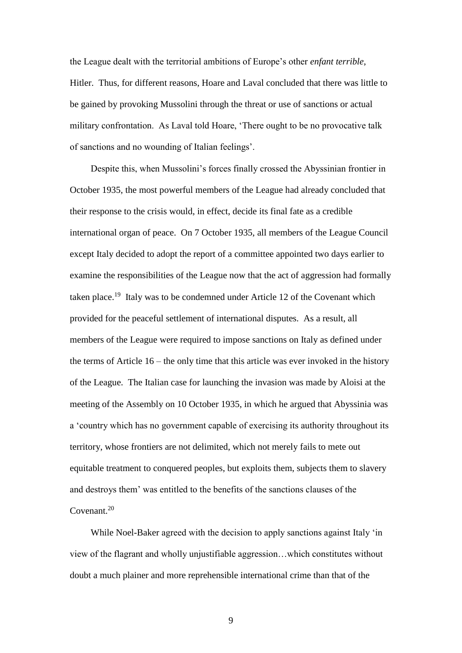the League dealt with the territorial ambitions of Europe's other *enfant terrible*, Hitler. Thus, for different reasons, Hoare and Laval concluded that there was little to be gained by provoking Mussolini through the threat or use of sanctions or actual military confrontation. As Laval told Hoare, 'There ought to be no provocative talk of sanctions and no wounding of Italian feelings'.

Despite this, when Mussolini's forces finally crossed the Abyssinian frontier in October 1935, the most powerful members of the League had already concluded that their response to the crisis would, in effect, decide its final fate as a credible international organ of peace. On 7 October 1935, all members of the League Council except Italy decided to adopt the report of a committee appointed two days earlier to examine the responsibilities of the League now that the act of aggression had formally taken place.<sup>19</sup> Italy was to be condemned under Article 12 of the Covenant which provided for the peaceful settlement of international disputes. As a result, all members of the League were required to impose sanctions on Italy as defined under the terms of Article 16 – the only time that this article was ever invoked in the history of the League. The Italian case for launching the invasion was made by Aloisi at the meeting of the Assembly on 10 October 1935, in which he argued that Abyssinia was a 'country which has no government capable of exercising its authority throughout its territory, whose frontiers are not delimited, which not merely fails to mete out equitable treatment to conquered peoples, but exploits them, subjects them to slavery and destroys them' was entitled to the benefits of the sanctions clauses of the Covenant.<sup>20</sup>

While Noel-Baker agreed with the decision to apply sanctions against Italy 'in view of the flagrant and wholly unjustifiable aggression…which constitutes without doubt a much plainer and more reprehensible international crime than that of the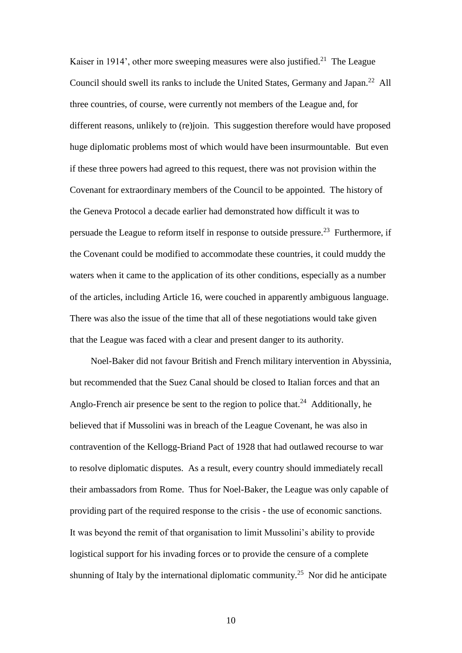Kaiser in 1914', other more sweeping measures were also justified.<sup>21</sup> The League Council should swell its ranks to include the United States, Germany and Japan.<sup>22</sup> All three countries, of course, were currently not members of the League and, for different reasons, unlikely to (re)join. This suggestion therefore would have proposed huge diplomatic problems most of which would have been insurmountable. But even if these three powers had agreed to this request, there was not provision within the Covenant for extraordinary members of the Council to be appointed. The history of the Geneva Protocol a decade earlier had demonstrated how difficult it was to persuade the League to reform itself in response to outside pressure.<sup>23</sup> Furthermore, if the Covenant could be modified to accommodate these countries, it could muddy the waters when it came to the application of its other conditions, especially as a number of the articles, including Article 16, were couched in apparently ambiguous language. There was also the issue of the time that all of these negotiations would take given that the League was faced with a clear and present danger to its authority.

Noel-Baker did not favour British and French military intervention in Abyssinia, but recommended that the Suez Canal should be closed to Italian forces and that an Anglo-French air presence be sent to the region to police that.<sup>24</sup> Additionally, he believed that if Mussolini was in breach of the League Covenant, he was also in contravention of the Kellogg-Briand Pact of 1928 that had outlawed recourse to war to resolve diplomatic disputes. As a result, every country should immediately recall their ambassadors from Rome. Thus for Noel-Baker, the League was only capable of providing part of the required response to the crisis - the use of economic sanctions. It was beyond the remit of that organisation to limit Mussolini's ability to provide logistical support for his invading forces or to provide the censure of a complete shunning of Italy by the international diplomatic community.<sup>25</sup> Nor did he anticipate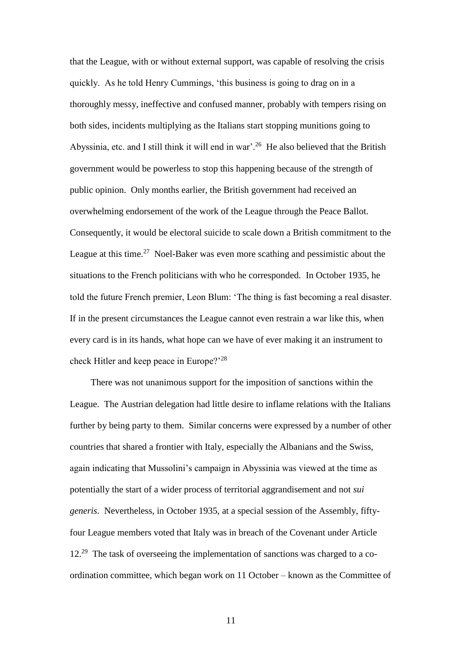that the League, with or without external support, was capable of resolving the crisis quickly. As he told Henry Cummings, 'this business is going to drag on in a thoroughly messy, ineffective and confused manner, probably with tempers rising on both sides, incidents multiplying as the Italians start stopping munitions going to Abyssinia, etc. and I still think it will end in war'.<sup>26</sup> He also believed that the British government would be powerless to stop this happening because of the strength of public opinion. Only months earlier, the British government had received an overwhelming endorsement of the work of the League through the Peace Ballot. Consequently, it would be electoral suicide to scale down a British commitment to the League at this time.<sup>27</sup> Noel-Baker was even more scathing and pessimistic about the situations to the French politicians with who he corresponded. In October 1935, he told the future French premier, Leon Blum: 'The thing is fast becoming a real disaster. If in the present circumstances the League cannot even restrain a war like this, when every card is in its hands, what hope can we have of ever making it an instrument to check Hitler and keep peace in Europe?'<sup>28</sup>

There was not unanimous support for the imposition of sanctions within the League. The Austrian delegation had little desire to inflame relations with the Italians further by being party to them. Similar concerns were expressed by a number of other countries that shared a frontier with Italy, especially the Albanians and the Swiss, again indicating that Mussolini's campaign in Abyssinia was viewed at the time as potentially the start of a wider process of territorial aggrandisement and not *sui generis*. Nevertheless, in October 1935, at a special session of the Assembly, fiftyfour League members voted that Italy was in breach of the Covenant under Article 12.<sup>29</sup> The task of overseeing the implementation of sanctions was charged to a coordination committee, which began work on 11 October – known as the Committee of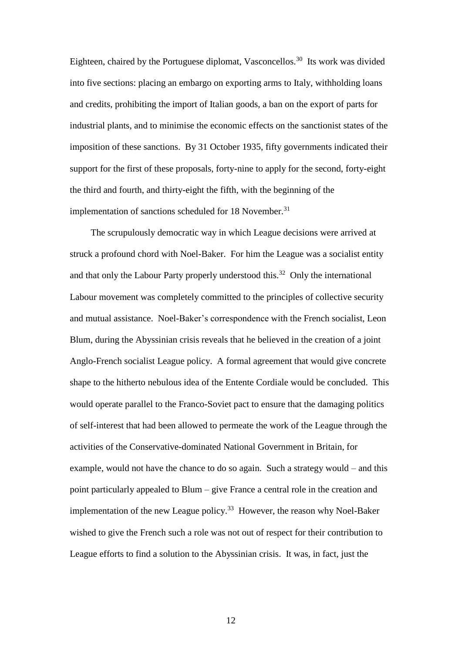Eighteen, chaired by the Portuguese diplomat, Vasconcellos.<sup>30</sup> Its work was divided into five sections: placing an embargo on exporting arms to Italy, withholding loans and credits, prohibiting the import of Italian goods, a ban on the export of parts for industrial plants, and to minimise the economic effects on the sanctionist states of the imposition of these sanctions. By 31 October 1935, fifty governments indicated their support for the first of these proposals, forty-nine to apply for the second, forty-eight the third and fourth, and thirty-eight the fifth, with the beginning of the implementation of sanctions scheduled for  $18$  November.<sup>31</sup>

The scrupulously democratic way in which League decisions were arrived at struck a profound chord with Noel-Baker. For him the League was a socialist entity and that only the Labour Party properly understood this.<sup>32</sup> Only the international Labour movement was completely committed to the principles of collective security and mutual assistance. Noel-Baker's correspondence with the French socialist, Leon Blum, during the Abyssinian crisis reveals that he believed in the creation of a joint Anglo-French socialist League policy. A formal agreement that would give concrete shape to the hitherto nebulous idea of the Entente Cordiale would be concluded. This would operate parallel to the Franco-Soviet pact to ensure that the damaging politics of self-interest that had been allowed to permeate the work of the League through the activities of the Conservative-dominated National Government in Britain, for example, would not have the chance to do so again. Such a strategy would – and this point particularly appealed to Blum – give France a central role in the creation and implementation of the new League policy.<sup>33</sup> However, the reason why Noel-Baker wished to give the French such a role was not out of respect for their contribution to League efforts to find a solution to the Abyssinian crisis. It was, in fact, just the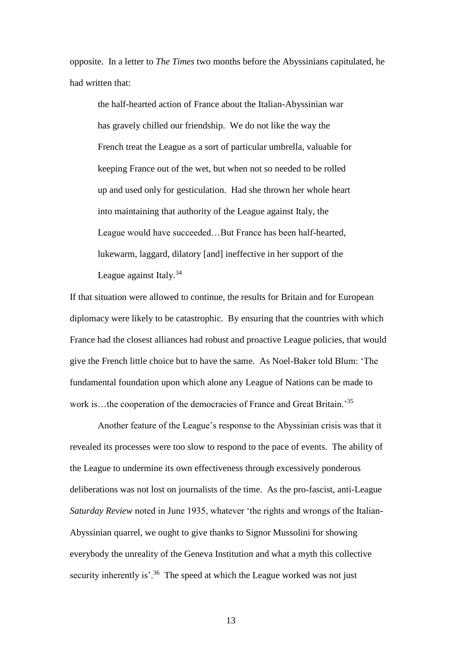opposite. In a letter to *The Times* two months before the Abyssinians capitulated, he had written that:

the half-hearted action of France about the Italian-Abyssinian war has gravely chilled our friendship. We do not like the way the French treat the League as a sort of particular umbrella, valuable for keeping France out of the wet, but when not so needed to be rolled up and used only for gesticulation. Had she thrown her whole heart into maintaining that authority of the League against Italy, the League would have succeeded…But France has been half-hearted, lukewarm, laggard, dilatory [and] ineffective in her support of the League against Italy. $34$ 

If that situation were allowed to continue, the results for Britain and for European diplomacy were likely to be catastrophic. By ensuring that the countries with which France had the closest alliances had robust and proactive League policies, that would give the French little choice but to have the same. As Noel-Baker told Blum: 'The fundamental foundation upon which alone any League of Nations can be made to work is…the cooperation of the democracies of France and Great Britain.'<sup>35</sup>

Another feature of the League's response to the Abyssinian crisis was that it revealed its processes were too slow to respond to the pace of events. The ability of the League to undermine its own effectiveness through excessively ponderous deliberations was not lost on journalists of the time. As the pro-fascist, anti-League *Saturday Review* noted in June 1935, whatever 'the rights and wrongs of the Italian-Abyssinian quarrel, we ought to give thanks to Signor Mussolini for showing everybody the unreality of the Geneva Institution and what a myth this collective security inherently is'.<sup>36</sup> The speed at which the League worked was not just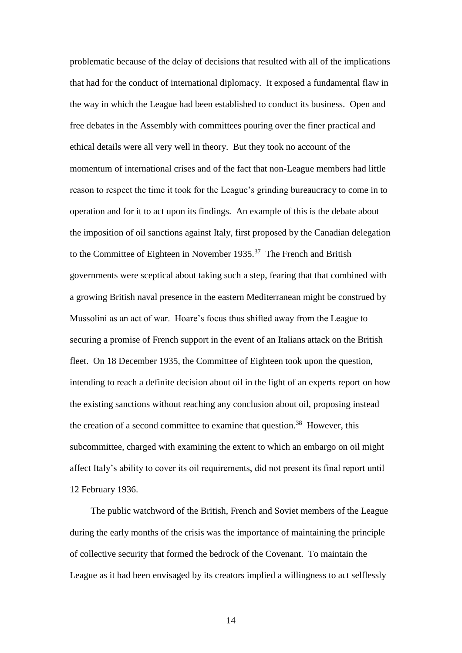problematic because of the delay of decisions that resulted with all of the implications that had for the conduct of international diplomacy. It exposed a fundamental flaw in the way in which the League had been established to conduct its business. Open and free debates in the Assembly with committees pouring over the finer practical and ethical details were all very well in theory. But they took no account of the momentum of international crises and of the fact that non-League members had little reason to respect the time it took for the League's grinding bureaucracy to come in to operation and for it to act upon its findings. An example of this is the debate about the imposition of oil sanctions against Italy, first proposed by the Canadian delegation to the Committee of Eighteen in November  $1935$ <sup>37</sup> The French and British governments were sceptical about taking such a step, fearing that that combined with a growing British naval presence in the eastern Mediterranean might be construed by Mussolini as an act of war. Hoare's focus thus shifted away from the League to securing a promise of French support in the event of an Italians attack on the British fleet. On 18 December 1935, the Committee of Eighteen took upon the question, intending to reach a definite decision about oil in the light of an experts report on how the existing sanctions without reaching any conclusion about oil, proposing instead the creation of a second committee to examine that question.<sup>38</sup> However, this subcommittee, charged with examining the extent to which an embargo on oil might affect Italy's ability to cover its oil requirements, did not present its final report until 12 February 1936.

The public watchword of the British, French and Soviet members of the League during the early months of the crisis was the importance of maintaining the principle of collective security that formed the bedrock of the Covenant. To maintain the League as it had been envisaged by its creators implied a willingness to act selflessly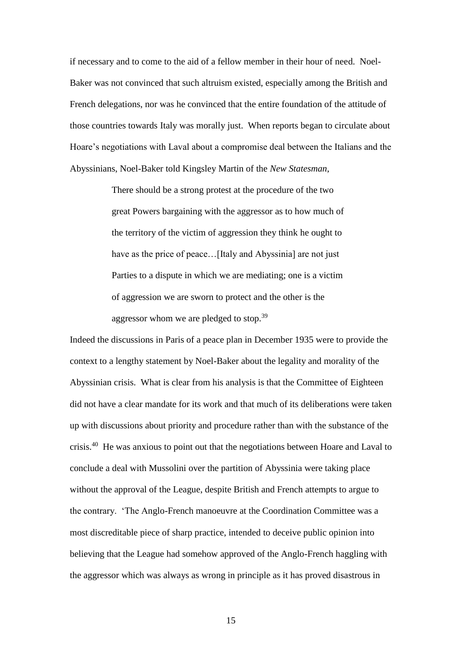if necessary and to come to the aid of a fellow member in their hour of need. Noel-Baker was not convinced that such altruism existed, especially among the British and French delegations, nor was he convinced that the entire foundation of the attitude of those countries towards Italy was morally just. When reports began to circulate about Hoare's negotiations with Laval about a compromise deal between the Italians and the Abyssinians, Noel-Baker told Kingsley Martin of the *New Statesman*,

> There should be a strong protest at the procedure of the two great Powers bargaining with the aggressor as to how much of the territory of the victim of aggression they think he ought to have as the price of peace...[Italy and Abyssinia] are not just Parties to a dispute in which we are mediating; one is a victim of aggression we are sworn to protect and the other is the aggressor whom we are pledged to stop.<sup>39</sup>

Indeed the discussions in Paris of a peace plan in December 1935 were to provide the context to a lengthy statement by Noel-Baker about the legality and morality of the Abyssinian crisis. What is clear from his analysis is that the Committee of Eighteen did not have a clear mandate for its work and that much of its deliberations were taken up with discussions about priority and procedure rather than with the substance of the crisis.<sup>40</sup> He was anxious to point out that the negotiations between Hoare and Laval to conclude a deal with Mussolini over the partition of Abyssinia were taking place without the approval of the League, despite British and French attempts to argue to the contrary. 'The Anglo-French manoeuvre at the Coordination Committee was a most discreditable piece of sharp practice, intended to deceive public opinion into believing that the League had somehow approved of the Anglo-French haggling with the aggressor which was always as wrong in principle as it has proved disastrous in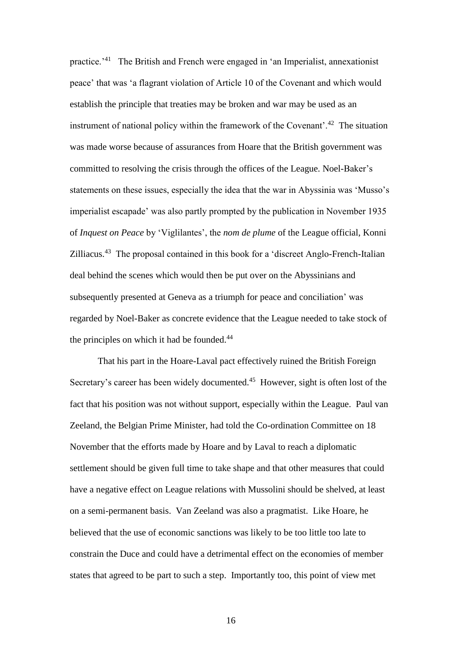practice.<sup>'41</sup> The British and French were engaged in 'an Imperialist, annexationist peace' that was 'a flagrant violation of Article 10 of the Covenant and which would establish the principle that treaties may be broken and war may be used as an instrument of national policy within the framework of the Covenant'.<sup>42</sup> The situation was made worse because of assurances from Hoare that the British government was committed to resolving the crisis through the offices of the League. Noel-Baker's statements on these issues, especially the idea that the war in Abyssinia was 'Musso's imperialist escapade' was also partly prompted by the publication in November 1935 of *Inquest on Peace* by 'Viglilantes', the *nom de plume* of the League official, Konni Zilliacus.<sup>43</sup> The proposal contained in this book for a 'discreet Anglo-French-Italian deal behind the scenes which would then be put over on the Abyssinians and subsequently presented at Geneva as a triumph for peace and conciliation' was regarded by Noel-Baker as concrete evidence that the League needed to take stock of the principles on which it had be founded.<sup>44</sup>

That his part in the Hoare-Laval pact effectively ruined the British Foreign Secretary's career has been widely documented.<sup>45</sup> However, sight is often lost of the fact that his position was not without support, especially within the League. Paul van Zeeland, the Belgian Prime Minister, had told the Co-ordination Committee on 18 November that the efforts made by Hoare and by Laval to reach a diplomatic settlement should be given full time to take shape and that other measures that could have a negative effect on League relations with Mussolini should be shelved, at least on a semi-permanent basis. Van Zeeland was also a pragmatist. Like Hoare, he believed that the use of economic sanctions was likely to be too little too late to constrain the Duce and could have a detrimental effect on the economies of member states that agreed to be part to such a step. Importantly too, this point of view met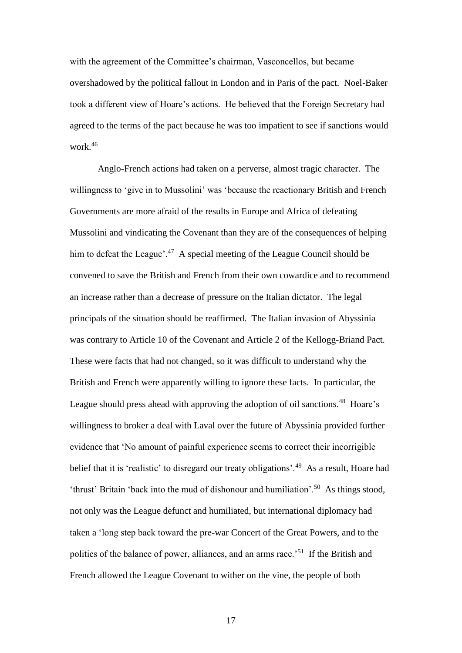with the agreement of the Committee's chairman, Vasconcellos, but became overshadowed by the political fallout in London and in Paris of the pact. Noel-Baker took a different view of Hoare's actions. He believed that the Foreign Secretary had agreed to the terms of the pact because he was too impatient to see if sanctions would work.<sup>46</sup>

Anglo-French actions had taken on a perverse, almost tragic character. The willingness to 'give in to Mussolini' was 'because the reactionary British and French Governments are more afraid of the results in Europe and Africa of defeating Mussolini and vindicating the Covenant than they are of the consequences of helping him to defeat the League'.<sup>47</sup> A special meeting of the League Council should be convened to save the British and French from their own cowardice and to recommend an increase rather than a decrease of pressure on the Italian dictator. The legal principals of the situation should be reaffirmed. The Italian invasion of Abyssinia was contrary to Article 10 of the Covenant and Article 2 of the Kellogg-Briand Pact. These were facts that had not changed, so it was difficult to understand why the British and French were apparently willing to ignore these facts. In particular, the League should press ahead with approving the adoption of oil sanctions.<sup>48</sup> Hoare's willingness to broker a deal with Laval over the future of Abyssinia provided further evidence that 'No amount of painful experience seems to correct their incorrigible belief that it is 'realistic' to disregard our treaty obligations'.<sup>49</sup> As a result, Hoare had 'thrust' Britain 'back into the mud of dishonour and humiliation'.<sup>50</sup> As things stood, not only was the League defunct and humiliated, but international diplomacy had taken a 'long step back toward the pre-war Concert of the Great Powers, and to the politics of the balance of power, alliances, and an arms race.<sup>51</sup> If the British and French allowed the League Covenant to wither on the vine, the people of both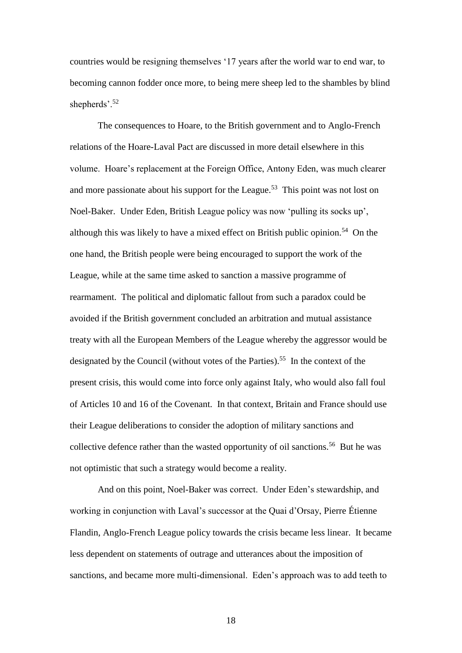countries would be resigning themselves '17 years after the world war to end war, to becoming cannon fodder once more, to being mere sheep led to the shambles by blind shepherds'.<sup>52</sup>

The consequences to Hoare, to the British government and to Anglo-French relations of the Hoare-Laval Pact are discussed in more detail elsewhere in this volume. Hoare's replacement at the Foreign Office, Antony Eden, was much clearer and more passionate about his support for the League.<sup>53</sup> This point was not lost on Noel-Baker. Under Eden, British League policy was now 'pulling its socks up', although this was likely to have a mixed effect on British public opinion.<sup>54</sup> On the one hand, the British people were being encouraged to support the work of the League, while at the same time asked to sanction a massive programme of rearmament. The political and diplomatic fallout from such a paradox could be avoided if the British government concluded an arbitration and mutual assistance treaty with all the European Members of the League whereby the aggressor would be designated by the Council (without votes of the Parties).<sup>55</sup> In the context of the present crisis, this would come into force only against Italy, who would also fall foul of Articles 10 and 16 of the Covenant. In that context, Britain and France should use their League deliberations to consider the adoption of military sanctions and collective defence rather than the wasted opportunity of oil sanctions.<sup>56</sup> But he was not optimistic that such a strategy would become a reality.

And on this point, Noel-Baker was correct. Under Eden's stewardship, and working in conjunction with Laval's successor at the Quai d'Orsay, Pierre Étienne Flandin, Anglo-French League policy towards the crisis became less linear. It became less dependent on statements of outrage and utterances about the imposition of sanctions, and became more multi-dimensional. Eden's approach was to add teeth to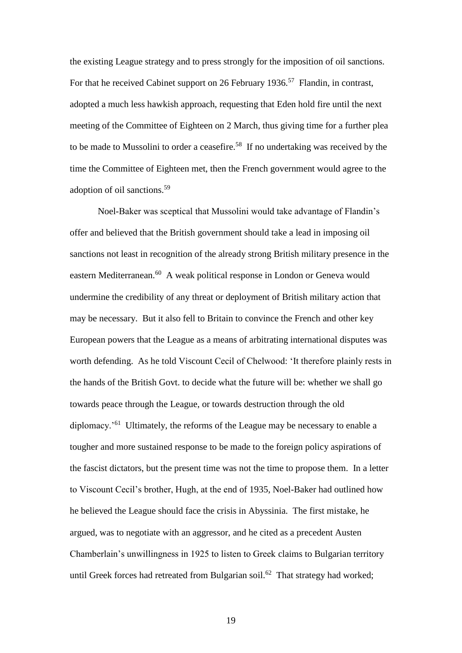the existing League strategy and to press strongly for the imposition of oil sanctions. For that he received Cabinet support on 26 February 1936.<sup>57</sup> Flandin, in contrast, adopted a much less hawkish approach, requesting that Eden hold fire until the next meeting of the Committee of Eighteen on 2 March, thus giving time for a further plea to be made to Mussolini to order a ceasefire.<sup>58</sup> If no undertaking was received by the time the Committee of Eighteen met, then the French government would agree to the adoption of oil sanctions.<sup>59</sup>

Noel-Baker was sceptical that Mussolini would take advantage of Flandin's offer and believed that the British government should take a lead in imposing oil sanctions not least in recognition of the already strong British military presence in the eastern Mediterranean.<sup>60</sup> A weak political response in London or Geneva would undermine the credibility of any threat or deployment of British military action that may be necessary. But it also fell to Britain to convince the French and other key European powers that the League as a means of arbitrating international disputes was worth defending. As he told Viscount Cecil of Chelwood: 'It therefore plainly rests in the hands of the British Govt. to decide what the future will be: whether we shall go towards peace through the League, or towards destruction through the old diplomacy.'<sup>61</sup> Ultimately, the reforms of the League may be necessary to enable a tougher and more sustained response to be made to the foreign policy aspirations of the fascist dictators, but the present time was not the time to propose them. In a letter to Viscount Cecil's brother, Hugh, at the end of 1935, Noel-Baker had outlined how he believed the League should face the crisis in Abyssinia. The first mistake, he argued, was to negotiate with an aggressor, and he cited as a precedent Austen Chamberlain's unwillingness in 1925 to listen to Greek claims to Bulgarian territory until Greek forces had retreated from Bulgarian soil.<sup>62</sup> That strategy had worked;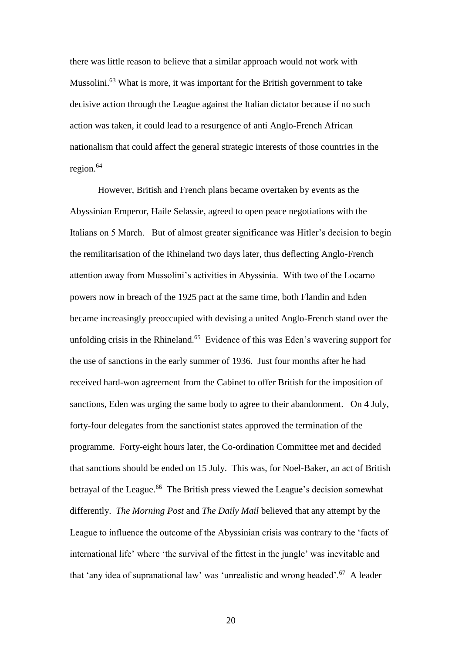there was little reason to believe that a similar approach would not work with Mussolini.<sup>63</sup> What is more, it was important for the British government to take decisive action through the League against the Italian dictator because if no such action was taken, it could lead to a resurgence of anti Anglo-French African nationalism that could affect the general strategic interests of those countries in the region.<sup>64</sup>

However, British and French plans became overtaken by events as the Abyssinian Emperor, Haile Selassie, agreed to open peace negotiations with the Italians on 5 March. But of almost greater significance was Hitler's decision to begin the remilitarisation of the Rhineland two days later, thus deflecting Anglo-French attention away from Mussolini's activities in Abyssinia. With two of the Locarno powers now in breach of the 1925 pact at the same time, both Flandin and Eden became increasingly preoccupied with devising a united Anglo-French stand over the unfolding crisis in the Rhineland.<sup>65</sup> Evidence of this was Eden's wavering support for the use of sanctions in the early summer of 1936. Just four months after he had received hard-won agreement from the Cabinet to offer British for the imposition of sanctions, Eden was urging the same body to agree to their abandonment. On 4 July, forty-four delegates from the sanctionist states approved the termination of the programme. Forty-eight hours later, the Co-ordination Committee met and decided that sanctions should be ended on 15 July. This was, for Noel-Baker, an act of British betrayal of the League.<sup>66</sup> The British press viewed the League's decision somewhat differently. *The Morning Post* and *The Daily Mail* believed that any attempt by the League to influence the outcome of the Abyssinian crisis was contrary to the 'facts of international life' where 'the survival of the fittest in the jungle' was inevitable and that 'any idea of supranational law' was 'unrealistic and wrong headed'.<sup>67</sup> A leader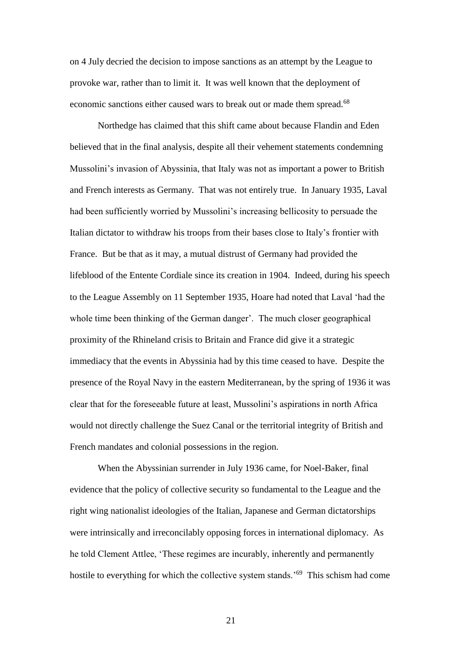on 4 July decried the decision to impose sanctions as an attempt by the League to provoke war, rather than to limit it. It was well known that the deployment of economic sanctions either caused wars to break out or made them spread.<sup>68</sup>

Northedge has claimed that this shift came about because Flandin and Eden believed that in the final analysis, despite all their vehement statements condemning Mussolini's invasion of Abyssinia, that Italy was not as important a power to British and French interests as Germany. That was not entirely true. In January 1935, Laval had been sufficiently worried by Mussolini's increasing bellicosity to persuade the Italian dictator to withdraw his troops from their bases close to Italy's frontier with France. But be that as it may, a mutual distrust of Germany had provided the lifeblood of the Entente Cordiale since its creation in 1904. Indeed, during his speech to the League Assembly on 11 September 1935, Hoare had noted that Laval 'had the whole time been thinking of the German danger'. The much closer geographical proximity of the Rhineland crisis to Britain and France did give it a strategic immediacy that the events in Abyssinia had by this time ceased to have. Despite the presence of the Royal Navy in the eastern Mediterranean, by the spring of 1936 it was clear that for the foreseeable future at least, Mussolini's aspirations in north Africa would not directly challenge the Suez Canal or the territorial integrity of British and French mandates and colonial possessions in the region.

When the Abyssinian surrender in July 1936 came, for Noel-Baker, final evidence that the policy of collective security so fundamental to the League and the right wing nationalist ideologies of the Italian, Japanese and German dictatorships were intrinsically and irreconcilably opposing forces in international diplomacy. As he told Clement Attlee, 'These regimes are incurably, inherently and permanently hostile to everything for which the collective system stands.<sup>'69</sup> This schism had come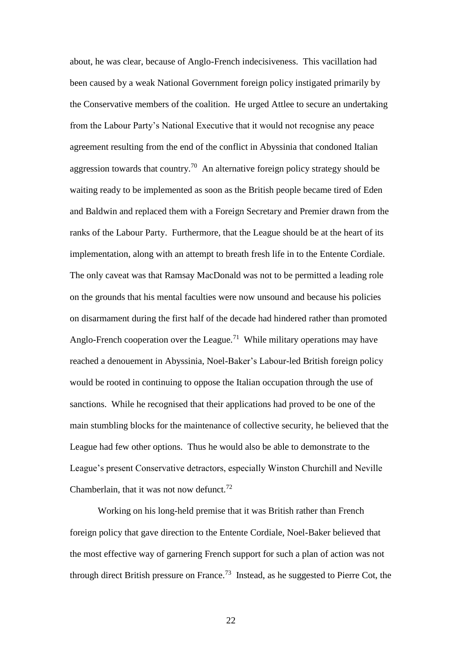about, he was clear, because of Anglo-French indecisiveness. This vacillation had been caused by a weak National Government foreign policy instigated primarily by the Conservative members of the coalition. He urged Attlee to secure an undertaking from the Labour Party's National Executive that it would not recognise any peace agreement resulting from the end of the conflict in Abyssinia that condoned Italian aggression towards that country.<sup>70</sup> An alternative foreign policy strategy should be waiting ready to be implemented as soon as the British people became tired of Eden and Baldwin and replaced them with a Foreign Secretary and Premier drawn from the ranks of the Labour Party. Furthermore, that the League should be at the heart of its implementation, along with an attempt to breath fresh life in to the Entente Cordiale. The only caveat was that Ramsay MacDonald was not to be permitted a leading role on the grounds that his mental faculties were now unsound and because his policies on disarmament during the first half of the decade had hindered rather than promoted Anglo-French cooperation over the League.<sup>71</sup> While military operations may have reached a denouement in Abyssinia, Noel-Baker's Labour-led British foreign policy would be rooted in continuing to oppose the Italian occupation through the use of sanctions. While he recognised that their applications had proved to be one of the main stumbling blocks for the maintenance of collective security, he believed that the League had few other options. Thus he would also be able to demonstrate to the League's present Conservative detractors, especially Winston Churchill and Neville Chamberlain, that it was not now defunct.<sup>72</sup>

Working on his long-held premise that it was British rather than French foreign policy that gave direction to the Entente Cordiale, Noel-Baker believed that the most effective way of garnering French support for such a plan of action was not through direct British pressure on France.<sup>73</sup> Instead, as he suggested to Pierre Cot, the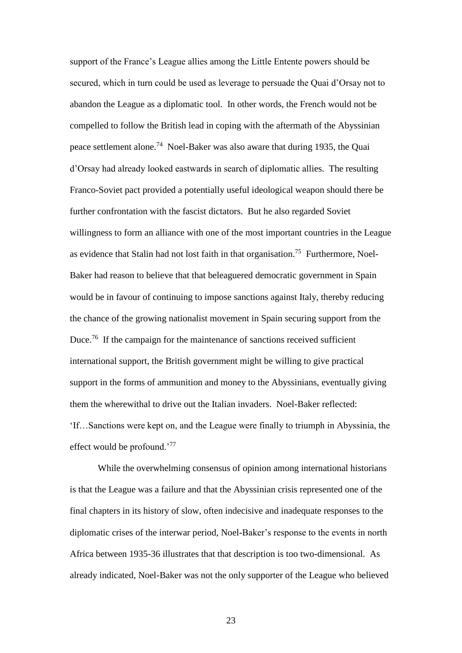support of the France's League allies among the Little Entente powers should be secured, which in turn could be used as leverage to persuade the Quai d'Orsay not to abandon the League as a diplomatic tool. In other words, the French would not be compelled to follow the British lead in coping with the aftermath of the Abyssinian peace settlement alone.<sup>74</sup> Noel-Baker was also aware that during 1935, the Quai d'Orsay had already looked eastwards in search of diplomatic allies. The resulting Franco-Soviet pact provided a potentially useful ideological weapon should there be further confrontation with the fascist dictators. But he also regarded Soviet willingness to form an alliance with one of the most important countries in the League as evidence that Stalin had not lost faith in that organisation.<sup>75</sup> Furthermore, Noel-Baker had reason to believe that that beleaguered democratic government in Spain would be in favour of continuing to impose sanctions against Italy, thereby reducing the chance of the growing nationalist movement in Spain securing support from the Duce.<sup>76</sup> If the campaign for the maintenance of sanctions received sufficient international support, the British government might be willing to give practical support in the forms of ammunition and money to the Abyssinians, eventually giving them the wherewithal to drive out the Italian invaders. Noel-Baker reflected: 'If…Sanctions were kept on, and the League were finally to triumph in Abyssinia, the effect would be profound.'<sup>77</sup>

While the overwhelming consensus of opinion among international historians is that the League was a failure and that the Abyssinian crisis represented one of the final chapters in its history of slow, often indecisive and inadequate responses to the diplomatic crises of the interwar period, Noel-Baker's response to the events in north Africa between 1935-36 illustrates that that description is too two-dimensional. As already indicated, Noel-Baker was not the only supporter of the League who believed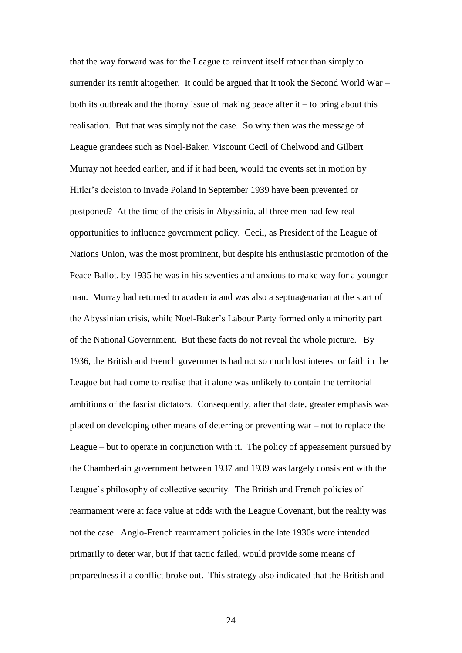that the way forward was for the League to reinvent itself rather than simply to surrender its remit altogether. It could be argued that it took the Second World War – both its outbreak and the thorny issue of making peace after  $it - to bring about this$ realisation. But that was simply not the case. So why then was the message of League grandees such as Noel-Baker, Viscount Cecil of Chelwood and Gilbert Murray not heeded earlier, and if it had been, would the events set in motion by Hitler's decision to invade Poland in September 1939 have been prevented or postponed? At the time of the crisis in Abyssinia, all three men had few real opportunities to influence government policy. Cecil, as President of the League of Nations Union, was the most prominent, but despite his enthusiastic promotion of the Peace Ballot, by 1935 he was in his seventies and anxious to make way for a younger man. Murray had returned to academia and was also a septuagenarian at the start of the Abyssinian crisis, while Noel-Baker's Labour Party formed only a minority part of the National Government. But these facts do not reveal the whole picture. By 1936, the British and French governments had not so much lost interest or faith in the League but had come to realise that it alone was unlikely to contain the territorial ambitions of the fascist dictators. Consequently, after that date, greater emphasis was placed on developing other means of deterring or preventing war – not to replace the League – but to operate in conjunction with it. The policy of appeasement pursued by the Chamberlain government between 1937 and 1939 was largely consistent with the League's philosophy of collective security. The British and French policies of rearmament were at face value at odds with the League Covenant, but the reality was not the case. Anglo-French rearmament policies in the late 1930s were intended primarily to deter war, but if that tactic failed, would provide some means of preparedness if a conflict broke out. This strategy also indicated that the British and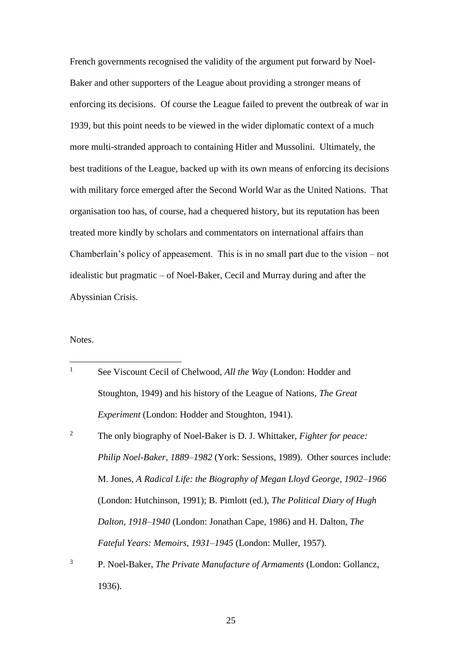French governments recognised the validity of the argument put forward by Noel-Baker and other supporters of the League about providing a stronger means of enforcing its decisions. Of course the League failed to prevent the outbreak of war in 1939, but this point needs to be viewed in the wider diplomatic context of a much more multi-stranded approach to containing Hitler and Mussolini. Ultimately, the best traditions of the League, backed up with its own means of enforcing its decisions with military force emerged after the Second World War as the United Nations. That organisation too has, of course, had a chequered history, but its reputation has been treated more kindly by scholars and commentators on international affairs than Chamberlain's policy of appeasement. This is in no small part due to the vision – not idealistic but pragmatic – of Noel-Baker, Cecil and Murray during and after the Abyssinian Crisis.

Notes.

 $\mathbf{1}$ <sup>1</sup> See Viscount Cecil of Chelwood, *All the Way* (London: Hodder and Stoughton, 1949) and his history of the League of Nations, *The Great Experiment* (London: Hodder and Stoughton, 1941).

<sup>2</sup> The only biography of Noel-Baker is D. J. Whittaker, *Fighter for peace: Philip Noel-Baker, 1889–1982* (York: Sessions, 1989). Other sources include: M. Jones, *A Radical Life: the Biography of Megan Lloyd George, 1902–1966* (London: Hutchinson, 1991); B. Pimlott (ed.), *The Political Diary of Hugh Dalton, 1918–1940* (London: Jonathan Cape, 1986) and H. Dalton, *The Fateful Years: Memoirs, 1931–1945* (London: Muller, 1957).

<sup>3</sup> P. Noel-Baker, *The Private Manufacture of Armaments* (London: Gollancz, 1936).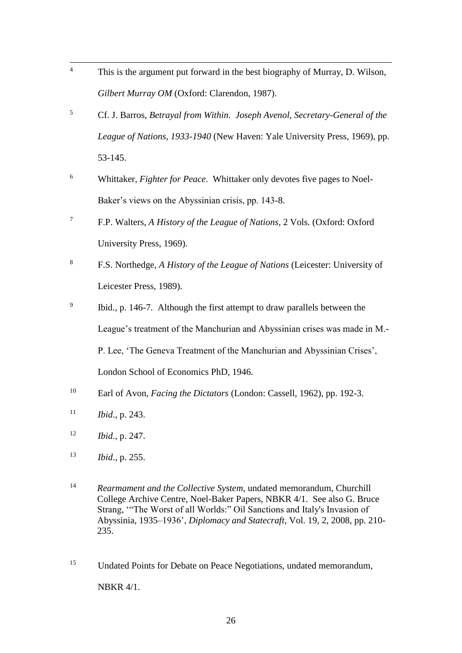- $\overline{4}$ This is the argument put forward in the best biography of Murray, D. Wilson, *Gilbert Murray OM* (Oxford: Clarendon, 1987).
- <sup>5</sup> Cf. J. Barros, *Betrayal from Within. Joseph Avenol, Secretary-General of the League of Nations, 1933-1940* (New Haven: Yale University Press, 1969), pp. 53-145.
- <sup>6</sup> Whittaker, *Fighter for Peace*. Whittaker only devotes five pages to Noel-Baker's views on the Abyssinian crisis, pp. 143-8.
- <sup>7</sup> F.P. Walters, *A History of the League of Nations*, 2 Vols. (Oxford: Oxford University Press, 1969).
- <sup>8</sup> F.S. Northedge, *A History of the League of Nations* (Leicester: University of Leicester Press, 1989).
- 9 Ibid., p. 146-7. Although the first attempt to draw parallels between the League's treatment of the Manchurian and Abyssinian crises was made in M.- P. Lee, 'The Geneva Treatment of the Manchurian and Abyssinian Crises', London School of Economics PhD, 1946.
- <sup>10</sup> Earl of Avon, *Facing the Dictators* (London: Cassell, 1962), pp. 192-3.
- <sup>11</sup> *Ibid*., p. 243.
- <sup>12</sup> *Ibid*., p. 247.
- <sup>13</sup> *Ibid*., p. 255.
- <sup>14</sup> *Rearmament and the Collective System*, undated memorandum, Churchill College Archive Centre, Noel-Baker Papers, NBKR 4/1. See also G. Bruce Strang, '"The Worst of all Worlds:" Oil Sanctions and Italy's Invasion of Abyssinia, 1935–1936', *Diplomacy and Statecraft*, Vol. 19, 2, 2008, pp. 210- 235.

<sup>15</sup> Undated Points for Debate on Peace Negotiations, undated memorandum, NBKR 4/1.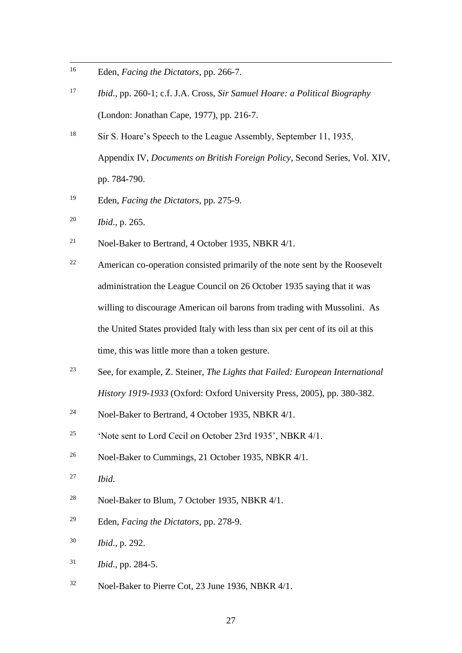- 16 <sup>16</sup> Eden, *Facing the Dictators*, pp. 266-7.
- <sup>17</sup> *Ibid*., pp. 260-1; c.f. J.A. Cross, *Sir Samuel Hoare: a Political Biography* (London: Jonathan Cape, 1977), pp. 216-7.
- <sup>18</sup> Sir S. Hoare's Speech to the League Assembly, September 11, 1935, Appendix IV, *Documents on British Foreign Policy*, Second Series, Vol. XIV, pp. 784-790.
- <sup>19</sup> Eden, *Facing the Dictators*, pp. 275-9.
- <sup>20</sup> *Ibid*., p. 265.
- <sup>21</sup> Noel-Baker to Bertrand, 4 October 1935, NBKR  $4/1$ .
- <sup>22</sup> American co-operation consisted primarily of the note sent by the Roosevelt administration the League Council on 26 October 1935 saying that it was willing to discourage American oil barons from trading with Mussolini. As the United States provided Italy with less than six per cent of its oil at this time, this was little more than a token gesture.
- <sup>23</sup> See, for example, Z. Steiner, *The Lights that Failed: European International History 1919-1933* (Oxford: Oxford University Press, 2005), pp. 380-382.
- <sup>24</sup> Noel-Baker to Bertrand, 4 October 1935, NBKR 4/1.
- <sup>25</sup> 'Note sent to Lord Cecil on October 23rd 1935', NBKR 4/1.
- <sup>26</sup> Noel-Baker to Cummings, 21 October 1935, NBKR 4/1.
- <sup>27</sup> *Ibid*.
- <sup>28</sup> Noel-Baker to Blum, 7 October 1935, NBKR 4/1.
- <sup>29</sup> Eden, *Facing the Dictators*, pp. 278-9.
- <sup>30</sup> *Ibid*., p. 292.
- <sup>31</sup> *Ibid*., pp. 284-5.
- <sup>32</sup> Noel-Baker to Pierre Cot, 23 June 1936, NBKR 4/1.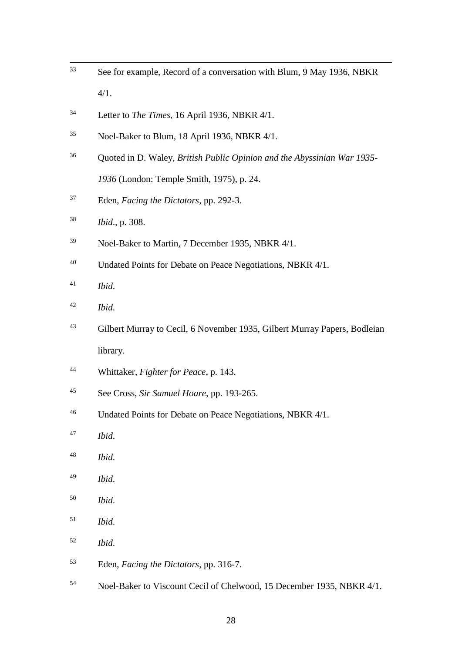| 33 | See for example, Record of a conversation with Blum, 9 May 1936, NBKR     |
|----|---------------------------------------------------------------------------|
|    | 4/1.                                                                      |
| 34 | Letter to The Times, 16 April 1936, NBKR 4/1.                             |
| 35 | Noel-Baker to Blum, 18 April 1936, NBKR 4/1.                              |
| 36 | Quoted in D. Waley, British Public Opinion and the Abyssinian War 1935-   |
|    | 1936 (London: Temple Smith, 1975), p. 24.                                 |
| 37 | Eden, Facing the Dictators, pp. 292-3.                                    |
| 38 | <i>Ibid.</i> , p. 308.                                                    |
| 39 | Noel-Baker to Martin, 7 December 1935, NBKR 4/1.                          |
| 40 | Undated Points for Debate on Peace Negotiations, NBKR 4/1.                |
| 41 | Ibid.                                                                     |
| 42 | Ibid.                                                                     |
| 43 | Gilbert Murray to Cecil, 6 November 1935, Gilbert Murray Papers, Bodleian |
|    | library.                                                                  |
| 44 | Whittaker, Fighter for Peace, p. 143.                                     |
| 45 | See Cross, Sir Samuel Hoare, pp. 193-265.                                 |
| 46 | Undated Points for Debate on Peace Negotiations, NBKR 4/1.                |
| 47 | Ibid.                                                                     |
| 48 | Ibid.                                                                     |
| 49 | Ibid.                                                                     |
| 50 | Ibid.                                                                     |
| 51 | Ibid.                                                                     |
| 52 | Ibid.                                                                     |
| 53 | Eden, Facing the Dictators, pp. 316-7.                                    |
| 54 | Noel-Baker to Viscount Cecil of Chelwood, 15 December 1935, NBKR 4/1.     |

<u>.</u>